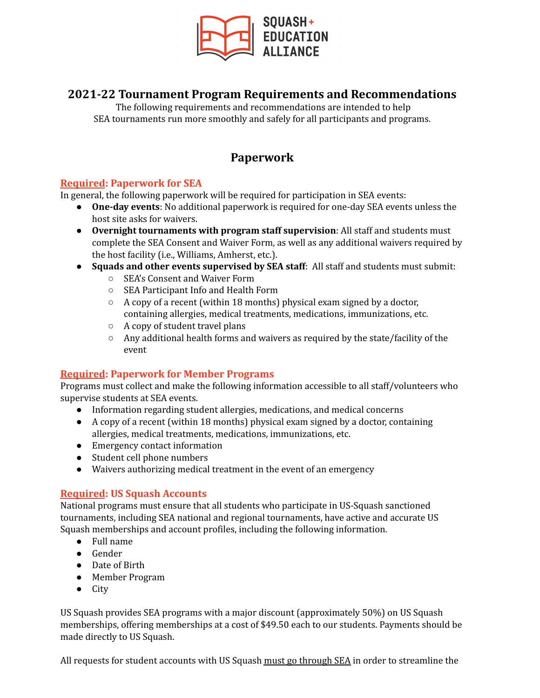

# **2021-22 Tournament Program Requirements and Recommendations**

The following requirements and recommendations are intended to help SEA tournaments run more smoothly and safely for all participants and programs.

# **Paperwork**

#### **Required: Paperwork for SEA**

In general, the following paperwork will be required for participation in SEA events:

- **One-day events**: No additional paperwork is required for one-day SEA events unless the host site asks for waivers.
- **Overnight tournaments with program staff supervision**: All staff and students must complete the SEA Consent and Waiver Form, as well as any additional waivers required by the host facility (i.e., Williams, Amherst, etc.).
- **Squads and other events supervised by SEA staff**: All staff and students must submit:
	- SEA's Consent and Waiver Form
	- SEA Participant Info and Health Form
	- A copy of a recent (within 18 months) physical exam signed by a doctor, containing allergies, medical treatments, medications, immunizations, etc.
	- A copy of student travel plans
	- Any additional health forms and waivers as required by the state/facility of the event

#### **Required: Paperwork for Member Programs**

Programs must collect and make the following information accessible to all staff/volunteers who supervise students at SEA events.

- Information regarding student allergies, medications, and medical concerns
- A copy of a recent (within 18 months) physical exam signed by a doctor, containing allergies, medical treatments, medications, immunizations, etc.
- Emergency contact information
- Student cell phone numbers
- Waivers authorizing medical treatment in the event of an emergency

# **Required: US Squash Accounts**

National programs must ensure that all students who participate in US-Squash sanctioned tournaments, including SEA national and regional tournaments, have active and accurate US Squash memberships and account profiles, including the following information.

- Full name
- Gender
- Date of Birth
- Member Program
- City

US Squash provides SEA programs with a major discount (approximately 50%) on US Squash memberships, offering memberships at a cost of \$49.50 each to our students. Payments should be made directly to US Squash.

All requests for student accounts with US Squash must go through SEA in order to streamline the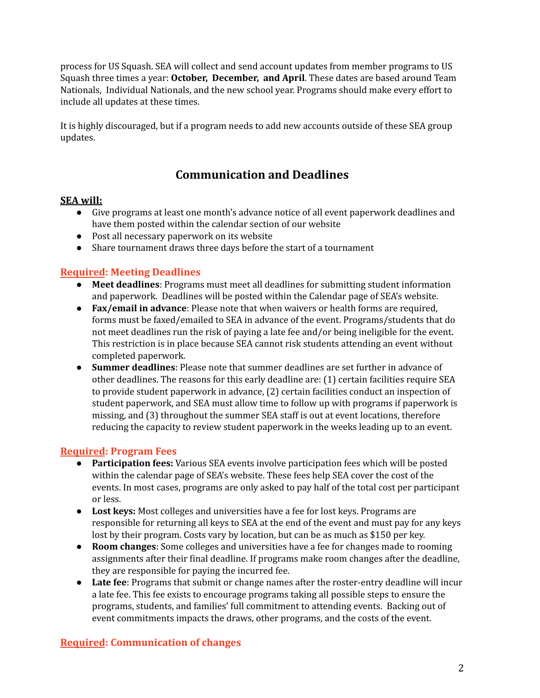process for US Squash. SEA will collect and send account updates from member programs to US Squash three times a year: **October, December, and April**. These dates are based around Team Nationals, Individual Nationals, and the new school year. Programs should make every effort to include all updates at these times.

It is highly discouraged, but if a program needs to add new accounts outside of these SEA group updates.

# **Communication and Deadlines**

#### **SEA will:**

- Give programs at least one month's advance notice of all event paperwork deadlines and have them posted within the calendar section of our website
- Post all necessary paperwork on its website
- Share tournament draws three days before the start of a tournament

# **Required: Meeting Deadlines**

- **● Meet deadlines**: Programs must meet all deadlines for submitting student information and paperwork. Deadlines will be posted within the Calendar page of SEA's website.
- **Fax/email in advance**: Please note that when waivers or health forms are required, forms must be faxed/emailed to SEA in advance of the event. Programs/students that do not meet deadlines run the risk of paying a late fee and/or being ineligible for the event. This restriction is in place because SEA cannot risk students attending an event without completed paperwork.
- **Summer deadlines**: Please note that summer deadlines are set further in advance of other deadlines. The reasons for this early deadline are: (1) certain facilities require SEA to provide student paperwork in advance, (2) certain facilities conduct an inspection of student paperwork, and SEA must allow time to follow up with programs if paperwork is missing, and (3) throughout the summer SEA staff is out at event locations, therefore reducing the capacity to review student paperwork in the weeks leading up to an event.

#### **Required: Program Fees**

- **Participation fees:** Various SEA events involve participation fees which will be posted within the calendar page of SEA's website. These fees help SEA cover the cost of the events. In most cases, programs are only asked to pay half of the total cost per participant or less.
- **Lost keys:** Most colleges and universities have a fee for lost keys. Programs are responsible for returning all keys to SEA at the end of the event and must pay for any keys lost by their program. Costs vary by location, but can be as much as \$150 per key.
- **Room changes**: Some colleges and universities have a fee for changes made to rooming assignments after their final deadline. If programs make room changes after the deadline, they are responsible for paying the incurred fee.
- **Late fee**: Programs that submit or change names after the roster-entry deadline will incur a late fee. This fee exists to encourage programs taking all possible steps to ensure the programs, students, and families' full commitment to attending events. Backing out of event commitments impacts the draws, other programs, and the costs of the event.

# **Required: Communication of changes**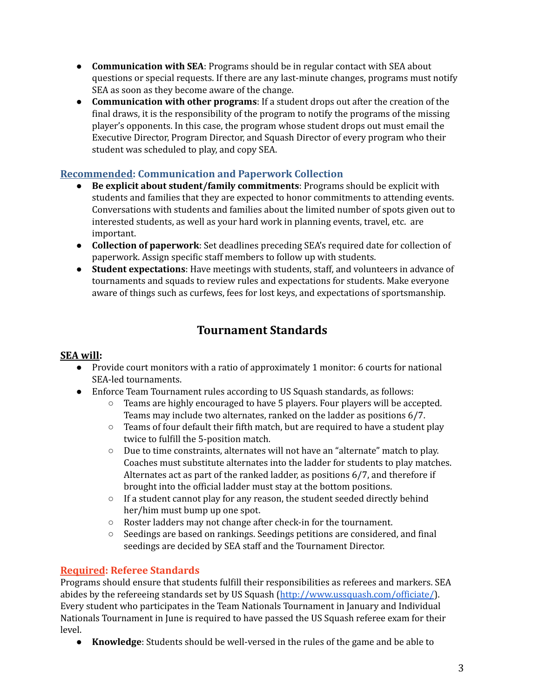- **Communication with SEA**: Programs should be in regular contact with SEA about questions or special requests. If there are any last-minute changes, programs must notify SEA as soon as they become aware of the change.
- **Communication with other programs**: If a student drops out after the creation of the final draws, it is the responsibility of the program to notify the programs of the missing player's opponents. In this case, the program whose student drops out must email the Executive Director, Program Director, and Squash Director of every program who their student was scheduled to play, and copy SEA.

#### **Recommended: Communication and Paperwork Collection**

- **Be explicit about student/family commitments**: Programs should be explicit with students and families that they are expected to honor commitments to attending events. Conversations with students and families about the limited number of spots given out to interested students, as well as your hard work in planning events, travel, etc. are important.
- **Collection of paperwork**: Set deadlines preceding SEA's required date for collection of paperwork. Assign specific staff members to follow up with students.
- **Student expectations**: Have meetings with students, staff, and volunteers in advance of tournaments and squads to review rules and expectations for students. Make everyone aware of things such as curfews, fees for lost keys, and expectations of sportsmanship.

# **Tournament Standards**

### **SEA will:**

- Provide court monitors with a ratio of approximately 1 monitor: 6 courts for national SEA-led tournaments.
- Enforce Team Tournament rules according to US Squash standards, as follows:
	- $\circ$  Teams are highly encouraged to have 5 players. Four players will be accepted. Teams may include two alternates, ranked on the ladder as positions 6/7.
	- $\circ$  Teams of four default their fifth match, but are required to have a student play twice to fulfill the 5-position match.
	- Due to time constraints, alternates will not have an "alternate" match to play. Coaches must substitute alternates into the ladder for students to play matches. Alternates act as part of the ranked ladder, as positions 6/7, and therefore if brought into the official ladder must stay at the bottom positions.
	- If a student cannot play for any reason, the student seeded directly behind her/him must bump up one spot.
	- Roster ladders may not change after check-in for the tournament.
	- Seedings are based on rankings. Seedings petitions are considered, and final seedings are decided by SEA staff and the Tournament Director.

# **Required: Referee Standards**

Programs should ensure that students fulfill their responsibilities as referees and markers. SEA abides by the refereeing standards set by US Squash (<http://www.ussquash.com/officiate/>). Every student who participates in the Team Nationals Tournament in January and Individual Nationals Tournament in June is required to have passed the US Squash referee exam for their level.

● **Knowledge**: Students should be well-versed in the rules of the game and be able to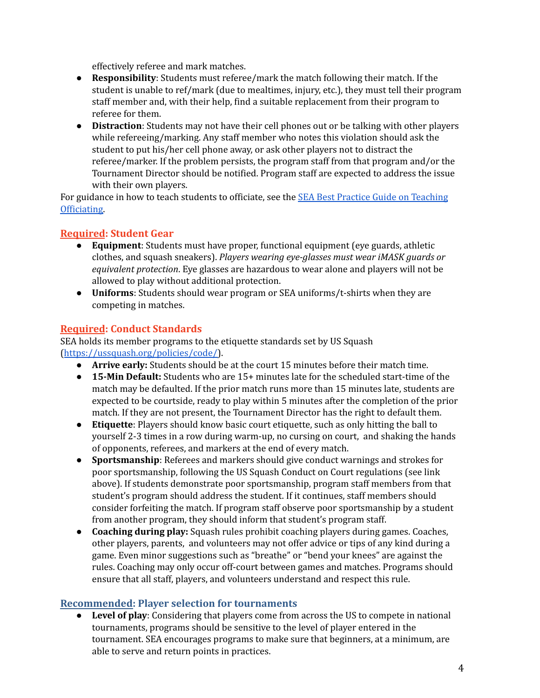effectively referee and mark matches.

- **Responsibility**: Students must referee/mark the match following their match. If the student is unable to ref/mark (due to mealtimes, injury, etc.), they must tell their program staff member and, with their help, find a suitable replacement from their program to referee for them.
- **Distraction**: Students may not have their cell phones out or be talking with other players while refereeing/marking. Any staff member who notes this violation should ask the student to put his/her cell phone away, or ask other players not to distract the referee/marker. If the problem persists, the program staff from that program and/or the Tournament Director should be notified. Program staff are expected to address the issue with their own players.

For guidance in how to teach students to officiate, see the SEA Best Practice Guide on [Teaching](https://squashandeducation.org/wp-content/uploads/2018/10/Best-Practices-Teaching-Officiating.pdf) [Officiating.](https://squashandeducation.org/wp-content/uploads/2018/10/Best-Practices-Teaching-Officiating.pdf)

#### **Required: Student Gear**

- **Equipment**: Students must have proper, functional equipment (eye guards, athletic clothes, and squash sneakers). *Players wearing eye-glasses must wear iMASK guards or equivalent protection*. Eye glasses are hazardous to wear alone and players will not be allowed to play without additional protection.
- **Uniforms**: Students should wear program or SEA uniforms/t-shirts when they are competing in matches.

# **Required: Conduct Standards**

SEA holds its member programs to the etiquette standards set by US Squash ([https://ussquash.org/policies/code/\)](https://ussquash.org/policies/code/).

- **Arrive early:** Students should be at the court 15 minutes before their match time.
- **15-Min Default:** Students who are 15+ minutes late for the scheduled start-time of the match may be defaulted. If the prior match runs more than 15 minutes late, students are expected to be courtside, ready to play within 5 minutes after the completion of the prior match. If they are not present, the Tournament Director has the right to default them.
- **Etiquette**: Players should know basic court etiquette, such as only hitting the ball to yourself 2-3 times in a row during warm-up, no cursing on court, and shaking the hands of opponents, referees, and markers at the end of every match.
- **Sportsmanship**: Referees and markers should give conduct warnings and strokes for poor sportsmanship, following the US Squash Conduct on Court regulations (see link above). If students demonstrate poor sportsmanship, program staff members from that student's program should address the student. If it continues, staff members should consider forfeiting the match. If program staff observe poor sportsmanship by a student from another program, they should inform that student's program staff.
- **Coaching during play:** Squash rules prohibit coaching players during games. Coaches, other players, parents, and volunteers may not offer advice or tips of any kind during a game. Even minor suggestions such as "breathe" or "bend your knees" are against the rules. Coaching may only occur off-court between games and matches. Programs should ensure that all staff, players, and volunteers understand and respect this rule.

#### **Recommended: Player selection for tournaments**

● **Level of play**: Considering that players come from across the US to compete in national tournaments, programs should be sensitive to the level of player entered in the tournament. SEA encourages programs to make sure that beginners, at a minimum, are able to serve and return points in practices.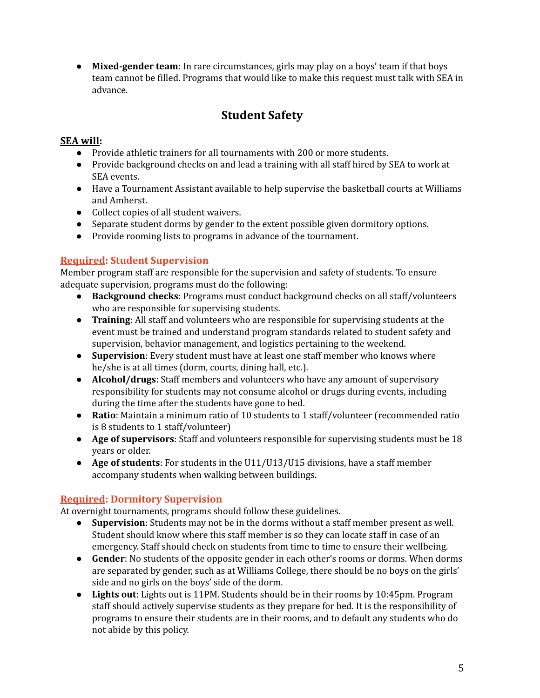**Mixed-gender team**: In rare circumstances, girls may play on a boys' team if that boys team cannot be filled. Programs that would like to make this request must talk with SEA in advance.

# **Student Safety**

### **SEA will:**

- Provide athletic trainers for all tournaments with 200 or more students.
- Provide background checks on and lead a training with all staff hired by SEA to work at SEA events.
- Have a Tournament Assistant available to help supervise the basketball courts at Williams and Amherst.
- Collect copies of all student waivers.
- Separate student dorms by gender to the extent possible given dormitory options.
- Provide rooming lists to programs in advance of the tournament.

# **Required: Student Supervision**

Member program staff are responsible for the supervision and safety of students. To ensure adequate supervision, programs must do the following:

- **Background checks**: Programs must conduct background checks on all staff/volunteers who are responsible for supervising students.
- **Training**: All staff and volunteers who are responsible for supervising students at the event must be trained and understand program standards related to student safety and supervision, behavior management, and logistics pertaining to the weekend.
- **Supervision**: Every student must have at least one staff member who knows where he/she is at all times (dorm, courts, dining hall, etc.).
- **Alcohol/drugs**: Staff members and volunteers who have any amount of supervisory responsibility for students may not consume alcohol or drugs during events, including during the time after the students have gone to bed.
- **Ratio**: Maintain a minimum ratio of 10 students to 1 staff/volunteer (recommended ratio is 8 students to 1 staff/volunteer)
- **Age of supervisors**: Staff and volunteers responsible for supervising students must be 18 years or older.
- **Age of students**: For students in the U11/U13/U15 divisions, have a staff member accompany students when walking between buildings.

# **Required: Dormitory Supervision**

At overnight tournaments, programs should follow these guidelines.

- **Supervision**: Students may not be in the dorms without a staff member present as well. Student should know where this staff member is so they can locate staff in case of an emergency. Staff should check on students from time to time to ensure their wellbeing.
- **Gender**: No students of the opposite gender in each other's rooms or dorms. When dorms are separated by gender, such as at Williams College, there should be no boys on the girls' side and no girls on the boys' side of the dorm.
- **Lights out**: Lights out is 11PM. Students should be in their rooms by 10:45pm. Program staff should actively supervise students as they prepare for bed. It is the responsibility of programs to ensure their students are in their rooms, and to default any students who do not abide by this policy.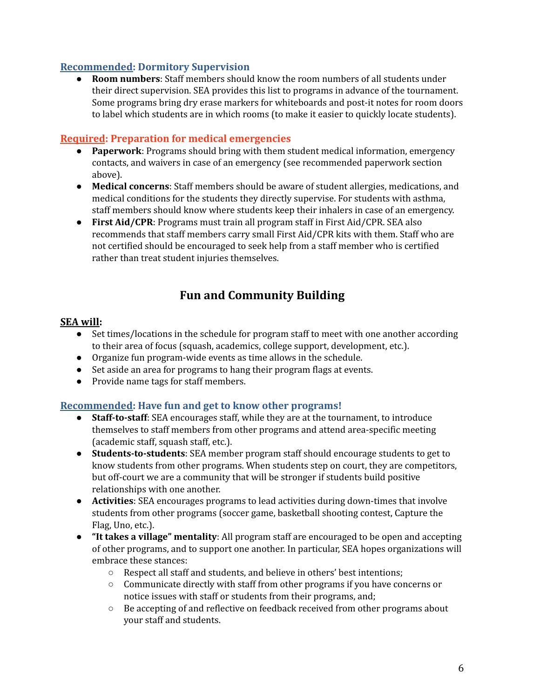#### **Recommended: Dormitory Supervision**

● **Room numbers**: Staff members should know the room numbers of all students under their direct supervision. SEA provides this list to programs in advance of the tournament. Some programs bring dry erase markers for whiteboards and post-it notes for room doors to label which students are in which rooms (to make it easier to quickly locate students).

#### **Required: Preparation for medical emergencies**

- **Paperwork**: Programs should bring with them student medical information, emergency contacts, and waivers in case of an emergency (see recommended paperwork section above).
- **Medical concerns**: Staff members should be aware of student allergies, medications, and medical conditions for the students they directly supervise. For students with asthma, staff members should know where students keep their inhalers in case of an emergency.
- **First Aid/CPR**: Programs must train all program staff in First Aid/CPR. SEA also recommends that staff members carry small First Aid/CPR kits with them. Staff who are not certified should be encouraged to seek help from a staff member who is certified rather than treat student injuries themselves.

# **Fun and Community Building**

#### **SEA will:**

- Set times/locations in the schedule for program staff to meet with one another according to their area of focus (squash, academics, college support, development, etc.).
- Organize fun program-wide events as time allows in the schedule.
- Set aside an area for programs to hang their program flags at events.
- Provide name tags for staff members.

#### **Recommended: Have fun and get to know other programs!**

- **Staff-to-staff**: SEA encourages staff, while they are at the tournament, to introduce themselves to staff members from other programs and attend area-specific meeting (academic staff, squash staff, etc.).
- **Students-to-students**: SEA member program staff should encourage students to get to know students from other programs. When students step on court, they are competitors, but off-court we are a community that will be stronger if students build positive relationships with one another.
- **Activities**: SEA encourages programs to lead activities during down-times that involve students from other programs (soccer game, basketball shooting contest, Capture the Flag, Uno, etc.).
- **"It takes a village" mentality**: All program staff are encouraged to be open and accepting of other programs, and to support one another. In particular, SEA hopes organizations will embrace these stances:
	- Respect all staff and students, and believe in others' best intentions;
	- Communicate directly with staff from other programs if you have concerns or notice issues with staff or students from their programs, and;
	- Be accepting of and reflective on feedback received from other programs about your staff and students.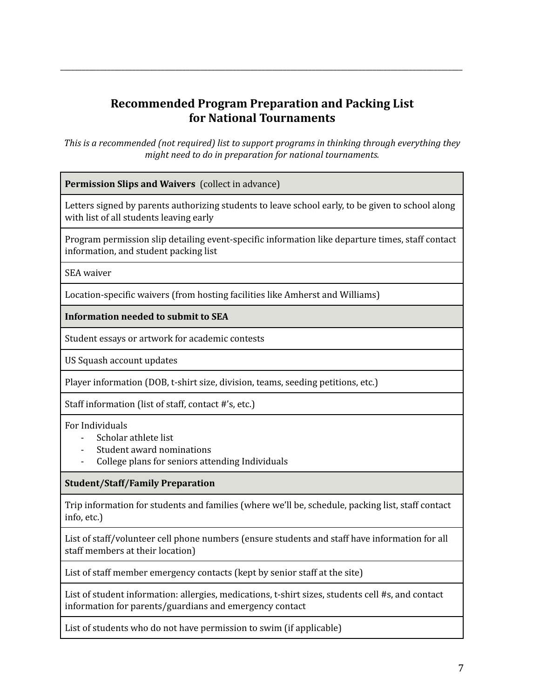# **Recommended Program Preparation and Packing List for National Tournaments**

\_\_\_\_\_\_\_\_\_\_\_\_\_\_\_\_\_\_\_\_\_\_\_\_\_\_\_\_\_\_\_\_\_\_\_\_\_\_\_\_\_\_\_\_\_\_\_\_\_\_\_\_\_\_\_\_\_\_\_\_\_\_\_\_\_\_\_\_\_\_\_\_\_\_\_\_\_\_\_\_\_\_\_\_\_\_\_\_\_\_\_\_\_\_\_\_\_\_\_\_\_\_\_\_\_\_\_\_\_\_\_\_

*This is a recommended (not required) list to support programs in thinking through everything they might need to do in preparation for national tournaments.*

**Permission Slips and Waivers** (collect in advance)

Letters signed by parents authorizing students to leave school early, to be given to school along with list of all students leaving early

Program permission slip detailing event-specific information like departure times, staff contact information, and student packing list

SEA waiver

Location-specific waivers (from hosting facilities like Amherst and Williams)

**Information needed to submit to SEA**

Student essays or artwork for academic contests

US Squash account updates

Player information (DOB, t-shirt size, division, teams, seeding petitions, etc.)

Staff information (list of staff, contact #'s, etc.)

For Individuals

- Scholar athlete list
- Student award nominations
- College plans for seniors attending Individuals

**Student/Staff/Family Preparation**

Trip information for students and families (where we'll be, schedule, packing list, staff contact info, etc.)

List of staff/volunteer cell phone numbers (ensure students and staff have information for all staff members at their location)

List of staff member emergency contacts (kept by senior staff at the site)

List of student information: allergies, medications, t-shirt sizes, students cell #s, and contact information for parents/guardians and emergency contact

List of students who do not have permission to swim (if applicable)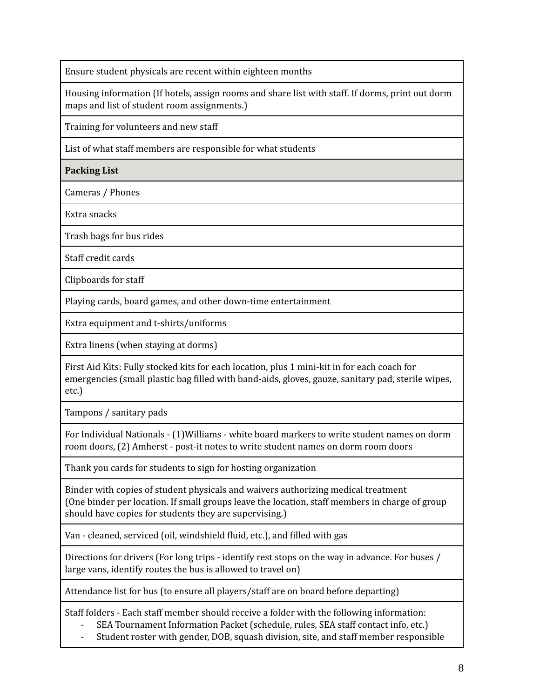Ensure student physicals are recent within eighteen months

Housing information (If hotels, assign rooms and share list with staff. If dorms, print out dorm maps and list of student room assignments.)

Training for volunteers and new staff

List of what staff members are responsible for what students

**Packing List**

Cameras / Phones

Extra snacks

Trash bags for bus rides

Staff credit cards

Clipboards for staff

Playing cards, board games, and other down-time entertainment

Extra equipment and t-shirts/uniforms

Extra linens (when staying at dorms)

First Aid Kits: Fully stocked kits for each location, plus 1 mini-kit in for each coach for emergencies (small plastic bag filled with band-aids, gloves, gauze, sanitary pad, sterile wipes, etc.)

Tampons / sanitary pads

For Individual Nationals - (1)Williams - white board markers to write student names on dorm room doors, (2) Amherst - post-it notes to write student names on dorm room doors

Thank you cards for students to sign for hosting organization

Binder with copies of student physicals and waivers authorizing medical treatment (One binder per location. If small groups leave the location, staff members in charge of group should have copies for students they are supervising.)

Van - cleaned, serviced (oil, windshield fluid, etc.), and filled with gas

Directions for drivers (For long trips - identify rest stops on the way in advance. For buses / large vans, identify routes the bus is allowed to travel on)

Attendance list for bus (to ensure all players/staff are on board before departing)

Staff folders - Each staff member should receive a folder with the following information:

- SEA Tournament Information Packet (schedule, rules, SEA staff contact info, etc.)
- Student roster with gender, DOB, squash division, site, and staff member responsible